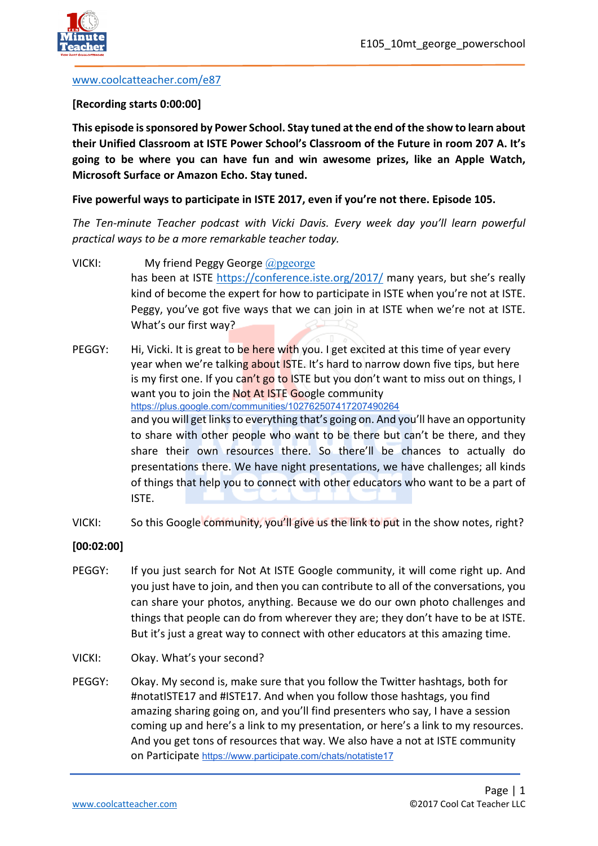

#### [www.coolcatteacher.com/e87](http://www.coolcatteacher.com/e87)

#### **[Recording starts 0:00:00]**

**This episode is sponsored by Power School. Stay tuned at the end of the show to learn about their Unified Classroom at ISTE Power School's Classroom of the Future in room 207 A. It's going to be where you can have fun and win awesome prizes, like an Apple Watch, Microsoft Surface or Amazon Echo. Stay tuned.** 

**Five powerful ways to participate in ISTE 2017, even if you're not there. Episode 105.**

*The Ten-minute Teacher podcast with Vicki Davis. Every week day you'll learn powerful practical ways to be a more remarkable teacher today.* 

- VICKI: My friend Peggy George [@pgeorge](http://www.twitter.com/pgeorge) has been at ISTE <https://conference.iste.org/2017/>many years, but she's really kind of become the expert for how to participate in ISTE when you're not at ISTE. Peggy, you've got five ways that we can join in at ISTE when we're not at ISTE. What's our first way?
- PEGGY: Hi, Vicki. It is great to be here with you. I get excited at this time of year every year when we're talking about ISTE. It's hard to narrow down five tips, but here is my first one. If you can't go to ISTE but you don't want to miss out on things, I want you to join the Not At ISTE Google community <https://plus.google.com/communities/102762507417207490264> and you will get links to everything that's going on. And you'll have an opportunity to share with other people who want to be there but can't be there, and they share their own resources there. So there'll be chances to actually do presentations there. We have night presentations, we have challenges; all kinds of things that help you to connect with other educators who want to be a part of ISTE.
- VICKI: So this Google community, you'll give us the link to put in the show notes, right?
- **[00:02:00]**
- PEGGY: If you just search for Not At ISTE Google community, it will come right up. And you just have to join, and then you can contribute to all of the conversations, you can share your photos, anything. Because we do our own photo challenges and things that people can do from wherever they are; they don't have to be at ISTE. But it's just a great way to connect with other educators at this amazing time.
- VICKI: Okay. What's your second?
- PEGGY: Okay. My second is, make sure that you follow the Twitter hashtags, both for #notatISTE17 and #ISTE17. And when you follow those hashtags, you find amazing sharing going on, and you'll find presenters who say, I have a session coming up and here's a link to my presentation, or here's a link to my resources. And you get tons of resources that way. We also have a not at ISTE community on Participate <https://www.participate.com/chats/notatiste17>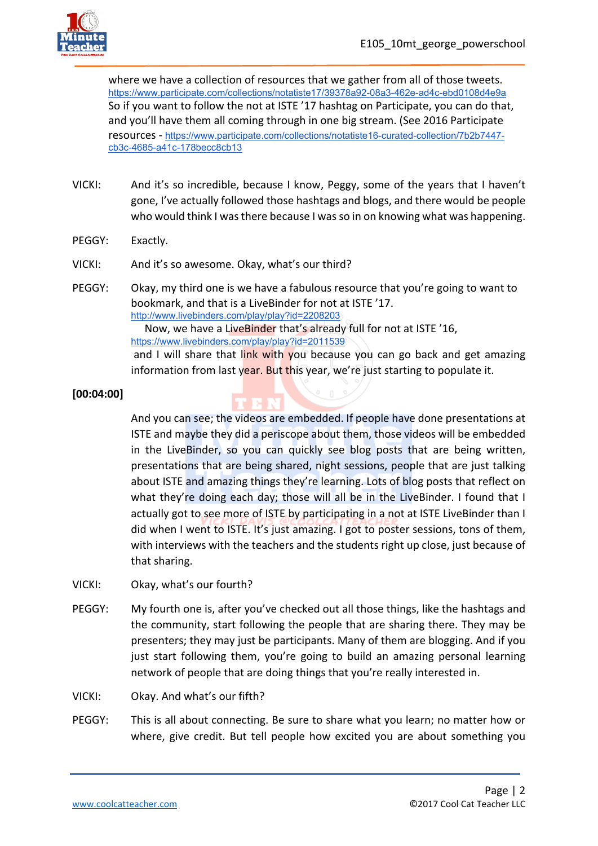

where we have a collection of resources that we gather from all of those tweets. <https://www.participate.com/collections/notatiste17/39378a92-08a3-462e-ad4c-ebd0108d4e9a> So if you want to follow the not at ISTE '17 hashtag on Participate, you can do that, and you'll have them all coming through in one big stream. (See 2016 Participate resources - [https://www.participate.com/collections/notatiste16-curated-collection/7b2b7447](https://www.participate.com/collections/notatiste16-curated-collection/7b2b7447-cb3c-4685-a41c-178becc8cb13) [cb3c-4685-a41c-178becc8cb13](https://www.participate.com/collections/notatiste16-curated-collection/7b2b7447-cb3c-4685-a41c-178becc8cb13)

- VICKI: And it's so incredible, because I know, Peggy, some of the years that I haven't gone, I've actually followed those hashtags and blogs, and there would be people who would think I was there because I was so in on knowing what was happening.
- PEGGY: Exactly.
- VICKI: And it's so awesome. Okay, what's our third?
- PEGGY: Okay, my third one is we have a fabulous resource that you're going to want to bookmark, and that is a LiveBinder for not at ISTE '17. <http://www.livebinders.com/play/play?id=2208203> Now, we have a LiveBinder that's already full for not at ISTE '16, <https://www.livebinders.com/play/play?id=2011539> and I will share that link with you because you can go back and get amazing information from last year. But this year, we're just starting to populate it.

## **[00:04:00]**

And you can see; the videos are embedded. If people have done presentations at ISTE and maybe they did a periscope about them, those videos will be embedded in the LiveBinder, so you can quickly see blog posts that are being written, presentations that are being shared, night sessions, people that are just talking about ISTE and amazing things they're learning. Lots of blog posts that reflect on what they're doing each day; those will all be in the LiveBinder. I found that I actually got to see more of ISTE by participating in a not at ISTE LiveBinder than I did when I went to ISTE. It's just amazing. I got to poster sessions, tons of them, with interviews with the teachers and the students right up close, just because of that sharing.

- VICKI: Okay, what's our fourth?
- PEGGY: My fourth one is, after you've checked out all those things, like the hashtags and the community, start following the people that are sharing there. They may be presenters; they may just be participants. Many of them are blogging. And if you just start following them, you're going to build an amazing personal learning network of people that are doing things that you're really interested in.
- VICKI: Okay. And what's our fifth?
- PEGGY: This is all about connecting. Be sure to share what you learn; no matter how or where, give credit. But tell people how excited you are about something you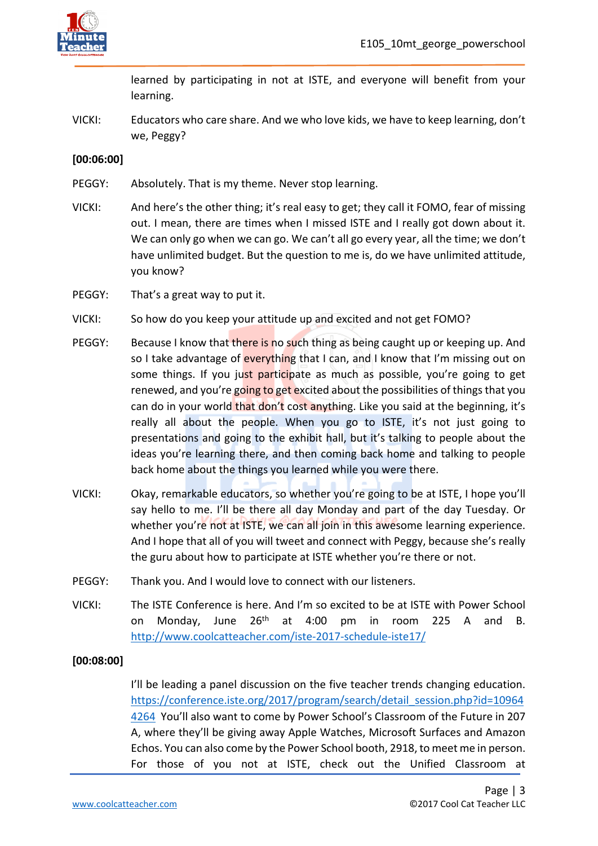

learned by participating in not at ISTE, and everyone will benefit from your learning.

VICKI: Educators who care share. And we who love kids, we have to keep learning, don't we, Peggy?

## **[00:06:00]**

- PEGGY: Absolutely. That is my theme. Never stop learning.
- VICKI: And here's the other thing; it's real easy to get; they call it FOMO, fear of missing out. I mean, there are times when I missed ISTE and I really got down about it. We can only go when we can go. We can't all go every year, all the time; we don't have unlimited budget. But the question to me is, do we have unlimited attitude, you know?
- PEGGY: That's a great way to put it.
- VICKI: So how do you keep your attitude up and excited and not get FOMO?
- PEGGY: Because I know that there is no such thing as being caught up or keeping up. And so I take advantage of everything that I can, and I know that I'm missing out on some things. If you just participate as much as possible, you're going to get renewed, and you're going to get excited about the possibilities of things that you can do in your world that don't cost anything. Like you said at the beginning, it's really all about the people. When you go to ISTE, it's not just going to presentations and going to the exhibit hall, but it's talking to people about the ideas you're learning there, and then coming back home and talking to people back home about the things you learned while you were there.
- VICKI: Okay, remarkable educators, so whether you're going to be at ISTE, I hope you'll say hello to me. I'll be there all day Monday and part of the day Tuesday. Or whether you're not at ISTE, we can all join in this awesome learning experience. And I hope that all of you will tweet and connect with Peggy, because she's really the guru about how to participate at ISTE whether you're there or not.
- PEGGY: Thank you. And I would love to connect with our listeners.
- VICKI: The ISTE Conference is here. And I'm so excited to be at ISTE with Power School on Monday, June  $26<sup>th</sup>$  at 4:00 pm in room 225 A and B. <http://www.coolcatteacher.com/iste-2017-schedule-iste17/>

### **[00:08:00]**

I'll be leading a panel discussion on the five teacher trends changing education. [https://conference.iste.org/2017/program/search/detail\\_session.php?id=10964](https://conference.iste.org/2017/program/search/detail_session.php?id=109644264) [4264](https://conference.iste.org/2017/program/search/detail_session.php?id=109644264) You'll also want to come by Power School's Classroom of the Future in 207 A, where they'll be giving away Apple Watches, Microsoft Surfaces and Amazon Echos. You can also come by the Power School booth, 2918, to meet me in person. For those of you not at ISTE, check out the Unified Classroom at